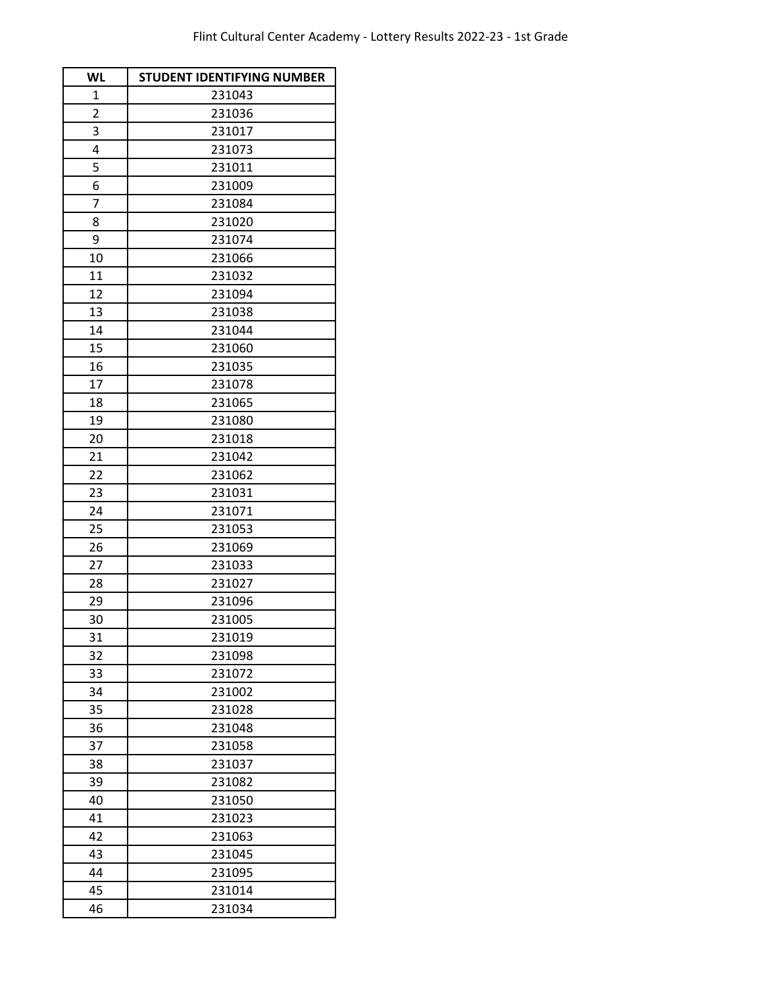| <b>WL</b>      | <b>STUDENT IDENTIFYING NUMBER</b> |
|----------------|-----------------------------------|
| $\mathbf{1}$   | 231043                            |
| $\overline{c}$ | 231036                            |
| 3              | 231017                            |
| 4              | 231073                            |
| 5              | 231011                            |
| 6              | 231009                            |
| 7              | 231084                            |
| 8              | 231020                            |
| 9              | 231074                            |
| 10             | 231066                            |
| 11             | 231032                            |
| 12             | 231094                            |
| 13             | 231038                            |
| 14             | 231044                            |
| 15             | 231060                            |
| 16             | 231035                            |
| 17             | 231078                            |
| 18             | 231065                            |
| 19             | 231080                            |
| 20             | 231018                            |
| 21             | 231042                            |
| 22             | 231062                            |
| 23             | 231031                            |
| 24             | 231071                            |
| 25             | 231053                            |
| 26             | 231069                            |
| 27             | 231033                            |
| 28             | 231027                            |
| 29             | 231096                            |
| 30             | 231005                            |
| 31             | 231019                            |
| 32             | 231098                            |
| 33             | 231072                            |
| 34             | 231002                            |
| 35             | 231028                            |
| 36             | 231048                            |
| 37             | 231058                            |
| 38             | 231037                            |
| 39             | 231082                            |
| 40             | 231050                            |
| 41             | 231023                            |
| 42             | 231063                            |
| 43             | 231045                            |
| 44             | 231095                            |
| 45             | 231014                            |
| 46             | 231034                            |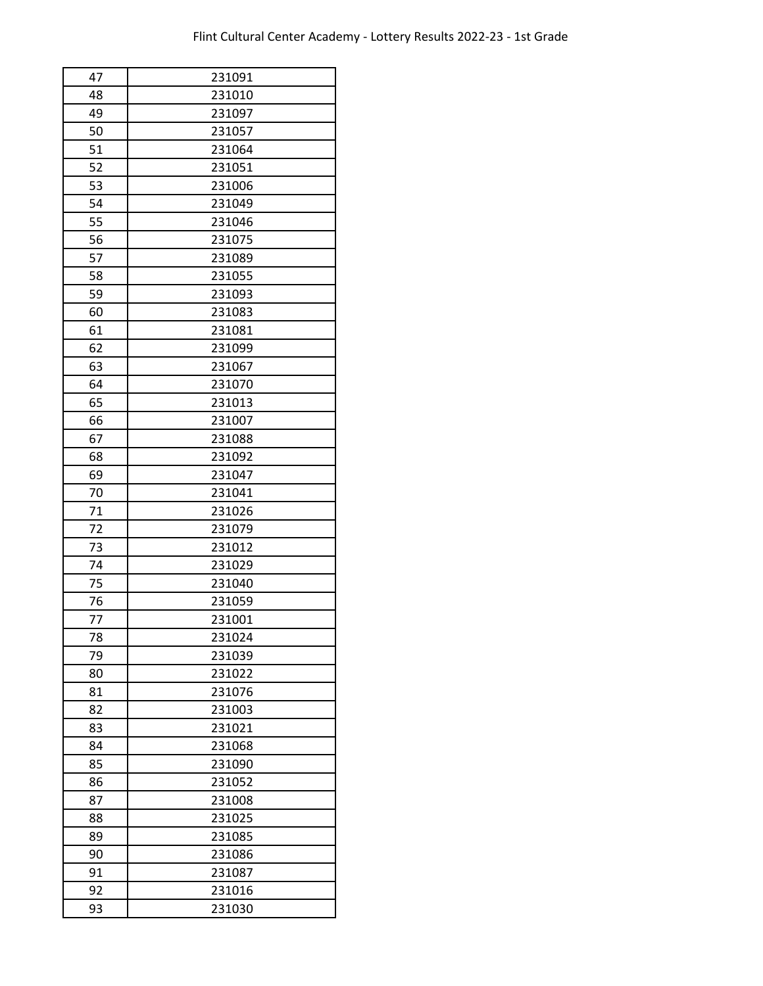| 47 | 231091 |
|----|--------|
| 48 | 231010 |
| 49 | 231097 |
| 50 | 231057 |
| 51 | 231064 |
| 52 | 231051 |
| 53 | 231006 |
| 54 | 231049 |
| 55 | 231046 |
| 56 | 231075 |
| 57 | 231089 |
| 58 | 231055 |
| 59 | 231093 |
| 60 | 231083 |
| 61 | 231081 |
| 62 | 231099 |
| 63 | 231067 |
| 64 | 231070 |
| 65 | 231013 |
| 66 | 231007 |
| 67 | 231088 |
| 68 | 231092 |
| 69 | 231047 |
| 70 | 231041 |
| 71 | 231026 |
| 72 | 231079 |
| 73 | 231012 |
| 74 | 231029 |
| 75 | 231040 |
| 76 | 231059 |
| 77 | 231001 |
| 78 | 231024 |
| 79 | 231039 |
| 80 | 231022 |
| 81 | 231076 |
| 82 | 231003 |
| 83 | 231021 |
| 84 | 231068 |
| 85 | 231090 |
| 86 | 231052 |
| 87 | 231008 |
| 88 | 231025 |
| 89 | 231085 |
| 90 | 231086 |
| 91 | 231087 |
| 92 | 231016 |
| 93 | 231030 |